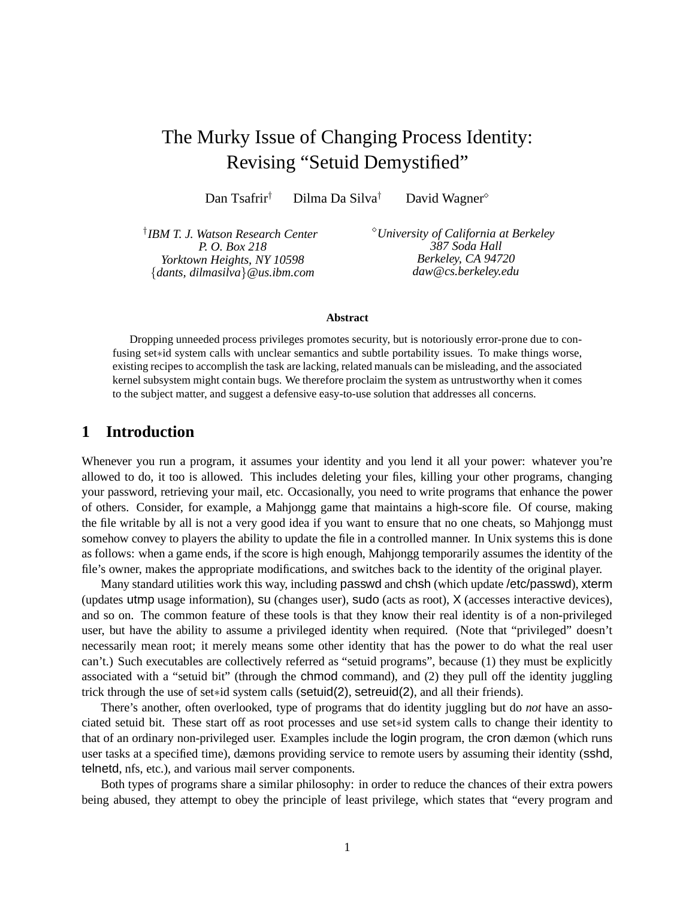# The Murky Issue of Changing Process Identity: Revising "Setuid Demystified"

Dan Tsafrir<sup>†</sup> Dilma Da Silva<sup>†</sup> David Wagner<sup>◇</sup>

† *IBM T. J. Watson Research Center P. O. Box 218 Yorktown Heights, NY 10598* {*dants, dilmasilva*}*@us.ibm.com*

<sup>⋄</sup>*University of California at Berkeley 387 Soda Hall Berkeley, CA 94720 daw@cs.berkeley.edu*

#### **Abstract**

Dropping unneeded process privileges promotes security, but is notoriously error-prone due to confusing set∗id system calls with unclear semantics and subtle portability issues. To make things worse, existing recipes to accomplish the task are lacking, related manuals can be misleading, and the associated kernel subsystem might contain bugs. We therefore proclaim the system as untrustworthy when it comes to the subject matter, and suggest a defensive easy-to-use solution that addresses all concerns.

# **1 Introduction**

Whenever you run a program, it assumes your identity and you lend it all your power: whatever you're allowed to do, it too is allowed. This includes deleting your files, killing your other programs, changing your password, retrieving your mail, etc. Occasionally, you need to write programs that enhance the power of others. Consider, for example, a Mahjongg game that maintains a high-score file. Of course, making the file writable by all is not a very good idea if you want to ensure that no one cheats, so Mahjongg must somehow convey to players the ability to update the file in a controlled manner. In Unix systems this is done as follows: when a game ends, if the score is high enough, Mahjongg temporarily assumes the identity of the file's owner, makes the appropriate modifications, and switches back to the identity of the original player.

Many standard utilities work this way, including passwd and chsh (which update /etc/passwd), xterm (updates utmp usage information), su (changes user), sudo (acts as root), X (accesses interactive devices), and so on. The common feature of these tools is that they know their real identity is of a non-privileged user, but have the ability to assume a privileged identity when required. (Note that "privileged" doesn't necessarily mean root; it merely means some other identity that has the power to do what the real user can't.) Such executables are collectively referred as "setuid programs", because (1) they must be explicitly associated with a "setuid bit" (through the chmod command), and (2) they pull off the identity juggling trick through the use of set∗id system calls (setuid(2), setreuid(2), and all their friends).

There's another, often overlooked, type of programs that do identity juggling but do *not* have an associated setuid bit. These start off as root processes and use set∗id system calls to change their identity to that of an ordinary non-privileged user. Examples include the login program, the cron dæmon (which runs user tasks at a specified time), dæmons providing service to remote users by assuming their identity (sshd, telnetd, nfs, etc.), and various mail server components.

Both types of programs share a similar philosophy: in order to reduce the chances of their extra powers being abused, they attempt to obey the principle of least privilege, which states that "every program and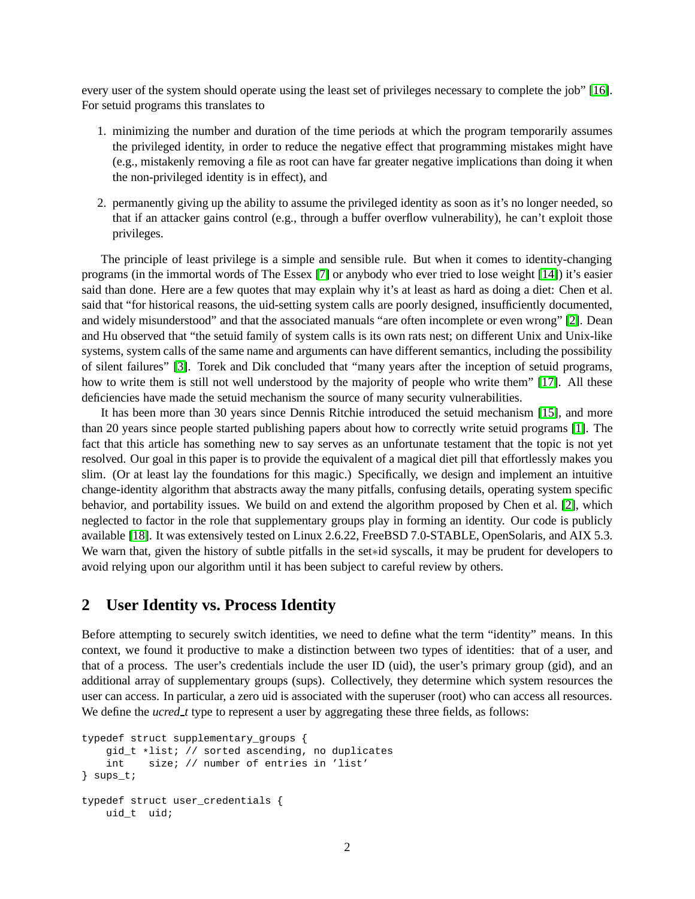every user of the system should operate using the least set of privileges necessary to complete the job" [\[16\]](#page-9-0). For setuid programs this translates to

- 1. minimizing the number and duration of the time periods at which the program temporarily assumes the privileged identity, in order to reduce the negative effect that programming mistakes might have (e.g., mistakenly removing a file as root can have far greater negative implications than doing it when the non-privileged identity is in effect), and
- 2. permanently giving up the ability to assume the privileged identity as soon as it's no longer needed, so that if an attacker gains control (e.g., through a buffer overflow vulnerability), he can't exploit those privileges.

The principle of least privilege is a simple and sensible rule. But when it comes to identity-changing programs (in the immortal words of The Essex [\[7\]](#page-9-1) or anybody who ever tried to lose weight [\[14\]](#page-9-2)) it's easier said than done. Here are a few quotes that may explain why it's at least as hard as doing a diet: Chen et al. said that "for historical reasons, the uid-setting system calls are poorly designed, insufficiently documented, and widely misunderstood" and that the associated manuals "are often incomplete or even wrong" [\[2\]](#page-9-3). Dean and Hu observed that "the setuid family of system calls is its own rats nest; on different Unix and Unix-like systems, system calls of the same name and arguments can have different semantics, including the possibility of silent failures" [\[3\]](#page-9-4). Torek and Dik concluded that "many years after the inception of setuid programs, how to write them is still not well understood by the majority of people who write them" [\[17\]](#page-9-5). All these deficiencies have made the setuid mechanism the source of many security vulnerabilities.

It has been more than 30 years since Dennis Ritchie introduced the setuid mechanism [\[15\]](#page-9-6), and more than 20 years since people started publishing papers about how to correctly write setuid programs [\[1\]](#page-9-7). The fact that this article has something new to say serves as an unfortunate testament that the topic is not yet resolved. Our goal in this paper is to provide the equivalent of a magical diet pill that effortlessly makes you slim. (Or at least lay the foundations for this magic.) Specifically, we design and implement an intuitive change-identity algorithm that abstracts away the many pitfalls, confusing details, operating system specific behavior, and portability issues. We build on and extend the algorithm proposed by Chen et al. [\[2\]](#page-9-3), which neglected to factor in the role that supplementary groups play in forming an identity. Our code is publicly available [\[18\]](#page-9-8). It was extensively tested on Linux 2.6.22, FreeBSD 7.0-STABLE, OpenSolaris, and AIX 5.3. We warn that, given the history of subtle pitfalls in the set∗id syscalls, it may be prudent for developers to avoid relying upon our algorithm until it has been subject to careful review by others.

### **2 User Identity vs. Process Identity**

Before attempting to securely switch identities, we need to define what the term "identity" means. In this context, we found it productive to make a distinction between two types of identities: that of a user, and that of a process. The user's credentials include the user ID (uid), the user's primary group (gid), and an additional array of supplementary groups (sups). Collectively, they determine which system resources the user can access. In particular, a zero uid is associated with the superuser (root) who can access all resources. We define the *ucred\_t* type to represent a user by aggregating these three fields, as follows:

```
typedef struct supplementary_groups {
    gid_t *list; // sorted ascending, no duplicates
    int size; // number of entries in 'list'
} sups_t;
typedef struct user_credentials {
   uid_t uid;
```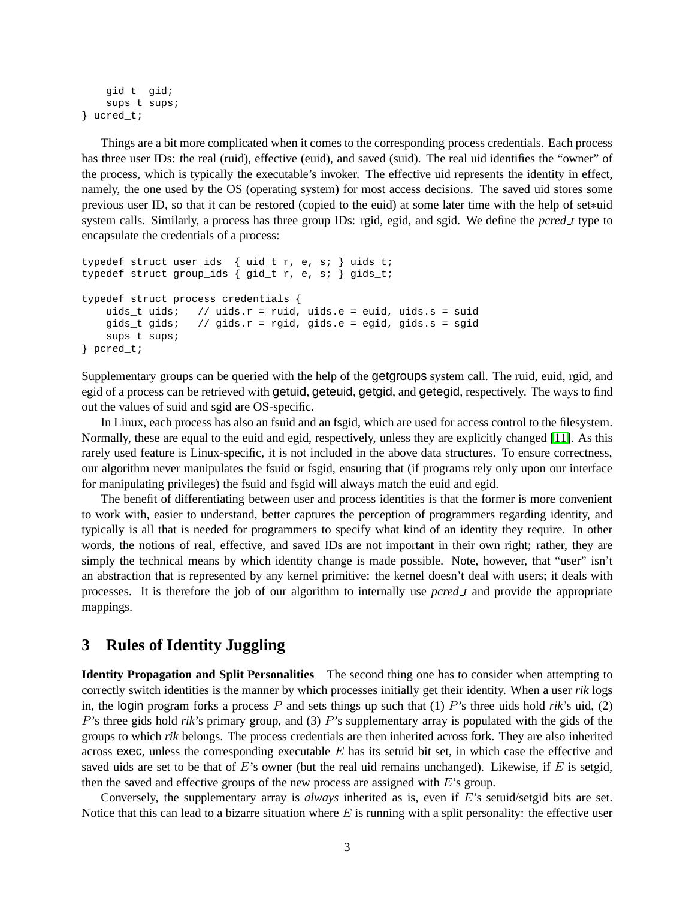```
gid_t gid;
   sups_t sups;
} ucred_t;
```
Things are a bit more complicated when it comes to the corresponding process credentials. Each process has three user IDs: the real (ruid), effective (euid), and saved (suid). The real uid identifies the "owner" of the process, which is typically the executable's invoker. The effective uid represents the identity in effect, namely, the one used by the OS (operating system) for most access decisions. The saved uid stores some previous user ID, so that it can be restored (copied to the euid) at some later time with the help of set∗uid system calls. Similarly, a process has three group IDs: rgid, egid, and sgid. We define the *pcred t* type to encapsulate the credentials of a process:

```
typedef struct user_ids { uid_t r, e, s; } uids_t;
typedef struct group_ids { gid_t r, e, s; } gids_t;
typedef struct process_credentials {
   uids_t uids; // uids.r = ruid, uids.e = euid, uids.s = suid
   gids_t gids; // gids.r = rgid, gids.e = egid, gids.s = sgid
    sups_t sups;
} pcred_t;
```
Supplementary groups can be queried with the help of the getgroups system call. The ruid, euid, rgid, and egid of a process can be retrieved with getuid, geteuid, getgid, and getegid, respectively. The ways to find out the values of suid and sgid are OS-specific.

In Linux, each process has also an fsuid and an fsgid, which are used for access control to the filesystem. Normally, these are equal to the euid and egid, respectively, unless they are explicitly changed [\[11\]](#page-9-9). As this rarely used feature is Linux-specific, it is not included in the above data structures. To ensure correctness, our algorithm never manipulates the fsuid or fsgid, ensuring that (if programs rely only upon our interface for manipulating privileges) the fsuid and fsgid will always match the euid and egid.

The benefit of differentiating between user and process identities is that the former is more convenient to work with, easier to understand, better captures the perception of programmers regarding identity, and typically is all that is needed for programmers to specify what kind of an identity they require. In other words, the notions of real, effective, and saved IDs are not important in their own right; rather, they are simply the technical means by which identity change is made possible. Note, however, that "user" isn't an abstraction that is represented by any kernel primitive: the kernel doesn't deal with users; it deals with processes. It is therefore the job of our algorithm to internally use *pcred t* and provide the appropriate mappings.

# **3 Rules of Identity Juggling**

**Identity Propagation and Split Personalities** The second thing one has to consider when attempting to correctly switch identities is the manner by which processes initially get their identity. When a user *rik* logs in, the login program forks a process  $P$  and sets things up such that  $(1)$   $P$ 's three uids hold *rik*'s uid,  $(2)$ P's three gids hold *rik*'s primary group, and (3) P's supplementary array is populated with the gids of the groups to which *rik* belongs. The process credentials are then inherited across fork. They are also inherited across exec, unless the corresponding executable  $E$  has its setuid bit set, in which case the effective and saved uids are set to be that of  $E$ 's owner (but the real uid remains unchanged). Likewise, if  $E$  is setgid, then the saved and effective groups of the new process are assigned with  $E$ 's group.

Conversely, the supplementary array is *always* inherited as is, even if E's setuid/setgid bits are set. Notice that this can lead to a bizarre situation where  $E$  is running with a split personality: the effective user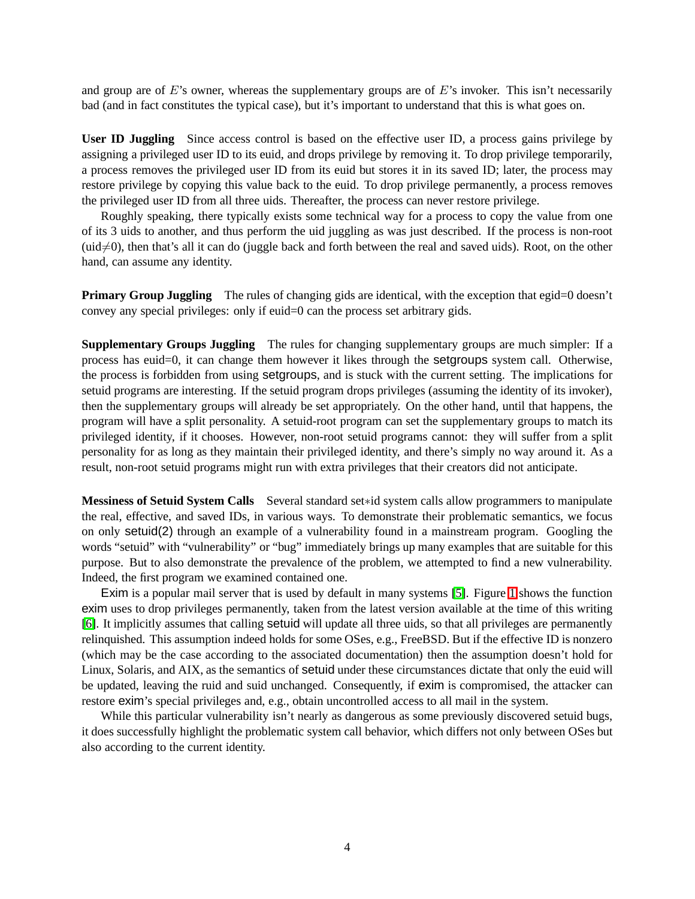and group are of  $E$ 's owner, whereas the supplementary groups are of  $E$ 's invoker. This isn't necessarily bad (and in fact constitutes the typical case), but it's important to understand that this is what goes on.

**User ID Juggling** Since access control is based on the effective user ID, a process gains privilege by assigning a privileged user ID to its euid, and drops privilege by removing it. To drop privilege temporarily, a process removes the privileged user ID from its euid but stores it in its saved ID; later, the process may restore privilege by copying this value back to the euid. To drop privilege permanently, a process removes the privileged user ID from all three uids. Thereafter, the process can never restore privilege.

Roughly speaking, there typically exists some technical way for a process to copy the value from one of its 3 uids to another, and thus perform the uid juggling as was just described. If the process is non-root  $(\text{uid} \neq 0)$ , then that's all it can do (juggle back and forth between the real and saved uids). Root, on the other hand, can assume any identity.

**Primary Group Juggling** The rules of changing gids are identical, with the exception that egid=0 doesn't convey any special privileges: only if euid=0 can the process set arbitrary gids.

**Supplementary Groups Juggling** The rules for changing supplementary groups are much simpler: If a process has euid=0, it can change them however it likes through the setgroups system call. Otherwise, the process is forbidden from using setgroups, and is stuck with the current setting. The implications for setuid programs are interesting. If the setuid program drops privileges (assuming the identity of its invoker), then the supplementary groups will already be set appropriately. On the other hand, until that happens, the program will have a split personality. A setuid-root program can set the supplementary groups to match its privileged identity, if it chooses. However, non-root setuid programs cannot: they will suffer from a split personality for as long as they maintain their privileged identity, and there's simply no way around it. As a result, non-root setuid programs might run with extra privileges that their creators did not anticipate.

**Messiness of Setuid System Calls** Several standard set∗id system calls allow programmers to manipulate the real, effective, and saved IDs, in various ways. To demonstrate their problematic semantics, we focus on only setuid(2) through an example of a vulnerability found in a mainstream program. Googling the words "setuid" with "vulnerability" or "bug" immediately brings up many examples that are suitable for this purpose. But to also demonstrate the prevalence of the problem, we attempted to find a new vulnerability. Indeed, the first program we examined contained one.

Exim is a popular mail server that is used by default in many systems [\[5\]](#page-9-10). Figure [1](#page-4-0) shows the function exim uses to drop privileges permanently, taken from the latest version available at the time of this writing [\[6\]](#page-9-11). It implicitly assumes that calling setuid will update all three uids, so that all privileges are permanently relinquished. This assumption indeed holds for some OSes, e.g., FreeBSD. But if the effective ID is nonzero (which may be the case according to the associated documentation) then the assumption doesn't hold for Linux, Solaris, and AIX, as the semantics of setuid under these circumstances dictate that only the euid will be updated, leaving the ruid and suid unchanged. Consequently, if exim is compromised, the attacker can restore exim's special privileges and, e.g., obtain uncontrolled access to all mail in the system.

While this particular vulnerability isn't nearly as dangerous as some previously discovered setuid bugs, it does successfully highlight the problematic system call behavior, which differs not only between OSes but also according to the current identity.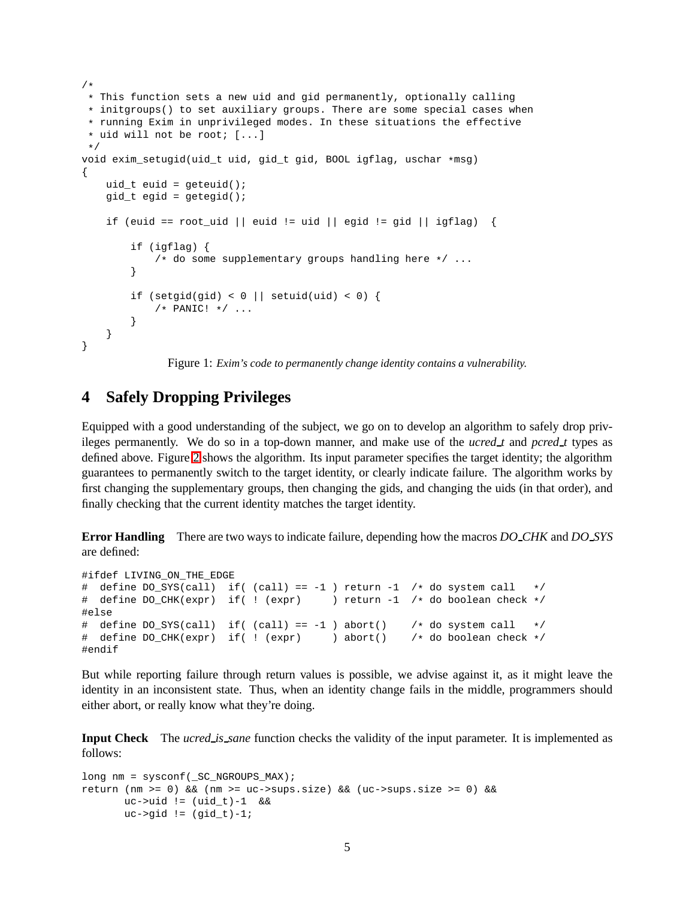```
/*
* This function sets a new uid and gid permanently, optionally calling
 * initgroups() to set auxiliary groups. There are some special cases when
 * running Exim in unprivileged modes. In these situations the effective
 * uid will not be root; [...]
 */
void exim_setugid(uid_t uid, gid_t gid, BOOL igflag, uschar *msg)
{
   uid t euid = qeteuid();
   gid_t egid = getegid();
    if (euid == root uid || euid != uid || egid != gid || igflag) {
        if (igflag) {
            /* do some supplementary groups handling here */ ...
        }
        if (setgid(gid) < 0 || setuid(uid) < 0) {
            /* PANIC! */ ...
        }
    }
}
```
<span id="page-4-0"></span>Figure 1: *Exim's code to permanently change identity contains a vulnerability.*

### **4 Safely Dropping Privileges**

Equipped with a good understanding of the subject, we go on to develop an algorithm to safely drop privileges permanently. We do so in a top-down manner, and make use of the *ucred t* and *pcred t* types as defined above. Figure [2](#page-5-0) shows the algorithm. Its input parameter specifies the target identity; the algorithm guarantees to permanently switch to the target identity, or clearly indicate failure. The algorithm works by first changing the supplementary groups, then changing the gids, and changing the uids (in that order), and finally checking that the current identity matches the target identity.

**Error Handling** There are two ways to indicate failure, depending how the macros *DO CHK* and *DO SYS* are defined:

```
#ifdef LIVING_ON_THE_EDGE
# define DO_SYS(call) if( (call) == -1 ) return -1 /* do system call */<br># define DO_CHK(expr) if( ! (expr) ) return -1 /* do boolean check */
# define DO_CHK(expr) if( ! (expr)
#else
# define DO\_SYS(call) if( (call) == -1 ) abort( ) /* do system call */
# define DO_CHK(expr) if( ! (expr) ) abort() /* do boolean check */
#endif
```
But while reporting failure through return values is possible, we advise against it, as it might leave the identity in an inconsistent state. Thus, when an identity change fails in the middle, programmers should either abort, or really know what they're doing.

**Input Check** The *ucred is sane* function checks the validity of the input parameter. It is implemented as follows:

```
long nm = sysconf(_SC_NGROUPS_MAX);
return (nm >= 0) && (nm >= uc->sups.size) && (uc->sups.size >= 0) &&
      uc->uid != (uid t)-1 &&
      uc->qid != (qid_t)-1;
```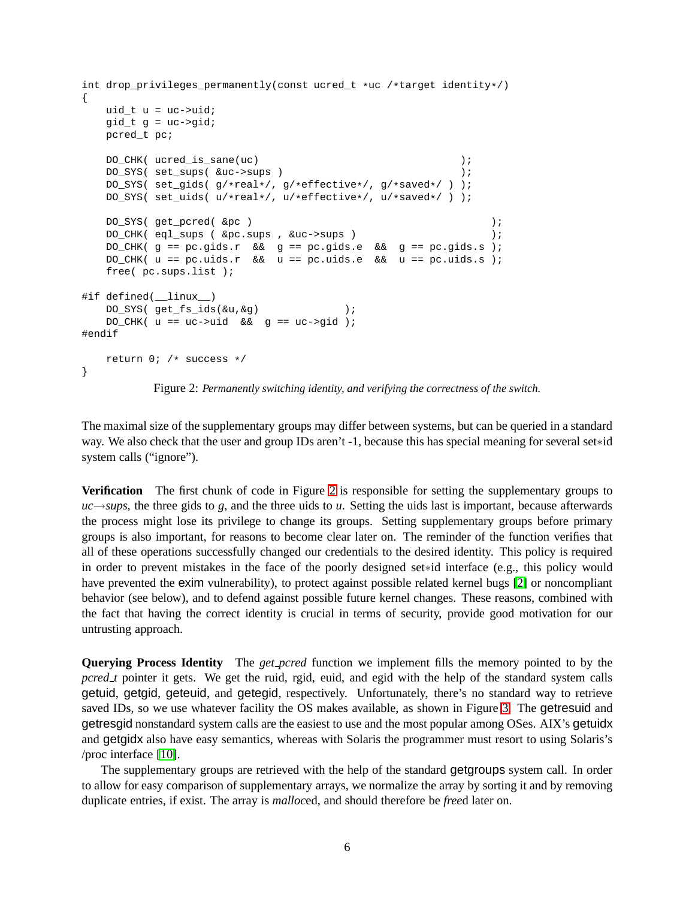```
int drop_privileges_permanently(const ucred_t *uc /*target identity*/)
{
   uid_t u = uc->uid;
   qid_t q = uc - \geq qid;pcred_t pc;
   DO_CHK( ucred_is_sane(uc) );
   DO_SYS( set_sups( &uc->sups ) );
   DO_SYS( set_gids( g/*real*/, g/*effective*/, g/*saved*/ ) );
   DO SYS( set uids( u/*real*/, u/*effective*/, u/*saved*/ ) );
   DO_SYS( get_pcred( &pc ) );
   DO_CHK( eql_sups ( &pc.sups , &uc->sups ) );
   DO_CHK( g == pc.gids.r && g == pc.gids.e && g == pc.gids.s );
   DO_CHK( u == pc.uids.r && u == pc.uids.e && u == pc.uids.s );
   free( pc.sups.list );
#if defined( linux )
   DO_SYS( get_fs_ids(&u,&g) );
   DO_CHK( u == uc->uid && g == uc->gid );
#endif
   return 0; /* success */
}
```
<span id="page-5-0"></span>Figure 2: *Permanently switching identity, and verifying the correctness of the switch.*

The maximal size of the supplementary groups may differ between systems, but can be queried in a standard way. We also check that the user and group IDs aren't -1, because this has special meaning for several set∗id system calls ("ignore").

**Verification** The first chunk of code in Figure [2](#page-5-0) is responsible for setting the supplementary groups to  $uc \rightarrow *sups*$ , the three gids to *g*, and the three uids to *u*. Setting the uids last is important, because afterwards the process might lose its privilege to change its groups. Setting supplementary groups before primary groups is also important, for reasons to become clear later on. The reminder of the function verifies that all of these operations successfully changed our credentials to the desired identity. This policy is required in order to prevent mistakes in the face of the poorly designed set∗id interface (e.g., this policy would have prevented the exim vulnerability), to protect against possible related kernel bugs [\[2\]](#page-9-3) or noncompliant behavior (see below), and to defend against possible future kernel changes. These reasons, combined with the fact that having the correct identity is crucial in terms of security, provide good motivation for our untrusting approach.

**Querying Process Identity** The *get pcred* function we implement fills the memory pointed to by the *pcred\_t* pointer it gets. We get the ruid, rgid, euid, and egid with the help of the standard system calls getuid, getgid, geteuid, and getegid, respectively. Unfortunately, there's no standard way to retrieve saved IDs, so we use whatever facility the OS makes available, as shown in Figure [3.](#page-6-0) The getresuid and getresgid nonstandard system calls are the easiest to use and the most popular among OSes. AIX's getuidx and getgidx also have easy semantics, whereas with Solaris the programmer must resort to using Solaris's /proc interface [\[10\]](#page-9-12).

The supplementary groups are retrieved with the help of the standard getgroups system call. In order to allow for easy comparison of supplementary arrays, we normalize the array by sorting it and by removing duplicate entries, if exist. The array is *malloc*ed, and should therefore be *free*d later on.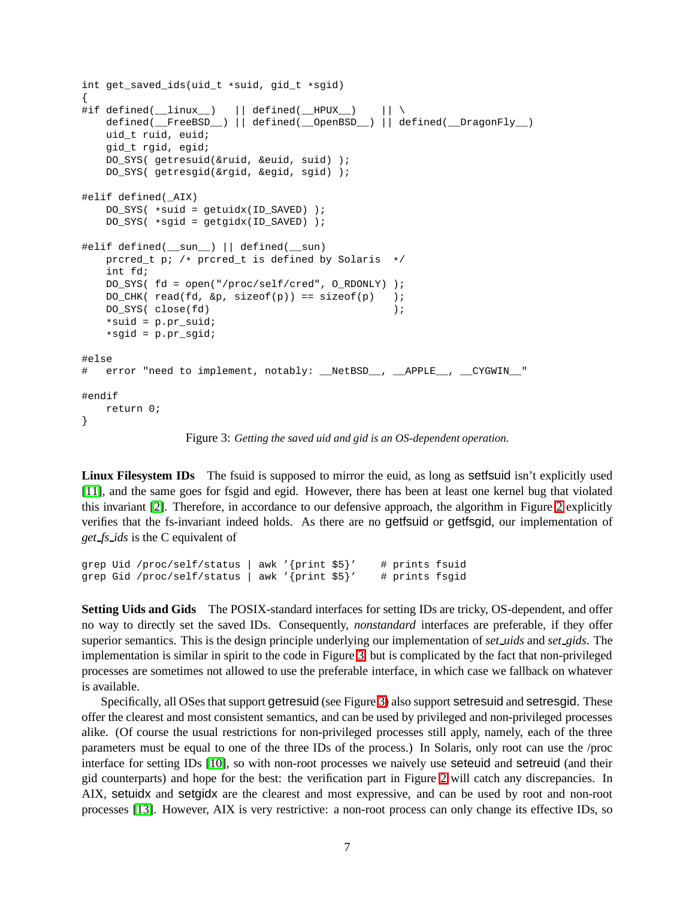```
int get_saved_ids(uid_t *suid, gid_t *sgid)
{
#if defined(__linux__) || defined(__HPUX__) || \
   defined(__FreeBSD__) || defined(__OpenBSD__) || defined(__DragonFly__)
   uid_t ruid, euid;
   gid_t rgid, egid;
   DO_SYS( getresuid(&ruid, &euid, suid) );
   DO_SYS( getresgid(&rgid, &egid, sgid) );
#elif defined(_AIX)
   DO_SYS( *suid = getuidx(ID_SAVED) );
   DO_SYS( *sgid = getgidx(ID_SAVED) );
#elif defined(__sun__) || defined(__sun)
   prcred_t p; /* prcred_t is defined by Solaris */
   int fd;
   DO_SYS( fd = open("/proc/self/cred", O_RDONLY) );
   DO CHK( read(fd, \&p, sizeof(p)) == sizeof(p) );
   DO_SYS( close(fd) );
   *suid = p.pr_suid;
   *sgid = p.pr_sgid;
#else
# error "need to implement, notably: __NetBSD__, __APPLE__, __CYGWIN_"
#endif
   return 0;
}
```
<span id="page-6-0"></span>Figure 3: *Getting the saved uid and gid is an OS-dependent operation.*

**Linux Filesystem IDs** The fsuid is supposed to mirror the euid, as long as setfsuid isn't explicitly used [\[11\]](#page-9-9), and the same goes for fsgid and egid. However, there has been at least one kernel bug that violated this invariant [\[2\]](#page-9-3). Therefore, in accordance to our defensive approach, the algorithm in Figure [2](#page-5-0) explicitly verifies that the fs-invariant indeed holds. As there are no getfsuid or getfsgid, our implementation of *get fs ids* is the C equivalent of

```
grep Uid /proc/self/status | awk '{print $5}' # prints fsuid
grep Gid /proc/self/status | awk '{print $5}' # prints fsgid
```
**Setting Uids and Gids** The POSIX-standard interfaces for setting IDs are tricky, OS-dependent, and offer no way to directly set the saved IDs. Consequently, *nonstandard* interfaces are preferable, if they offer superior semantics. This is the design principle underlying our implementation of *set uids* and *set gids*. The implementation is similar in spirit to the code in Figure [3,](#page-6-0) but is complicated by the fact that non-privileged processes are sometimes not allowed to use the preferable interface, in which case we fallback on whatever is available.

Specifically, all OSes that support getresuid (see Figure [3\)](#page-6-0) also support setresuid and setresgid. These offer the clearest and most consistent semantics, and can be used by privileged and non-privileged processes alike. (Of course the usual restrictions for non-privileged processes still apply, namely, each of the three parameters must be equal to one of the three IDs of the process.) In Solaris, only root can use the /proc interface for setting IDs [\[10\]](#page-9-12), so with non-root processes we naively use seteuid and setreuid (and their gid counterparts) and hope for the best: the verification part in Figure [2](#page-5-0) will catch any discrepancies. In AIX, setuidx and setgidx are the clearest and most expressive, and can be used by root and non-root processes [\[13\]](#page-9-13). However, AIX is very restrictive: a non-root process can only change its effective IDs, so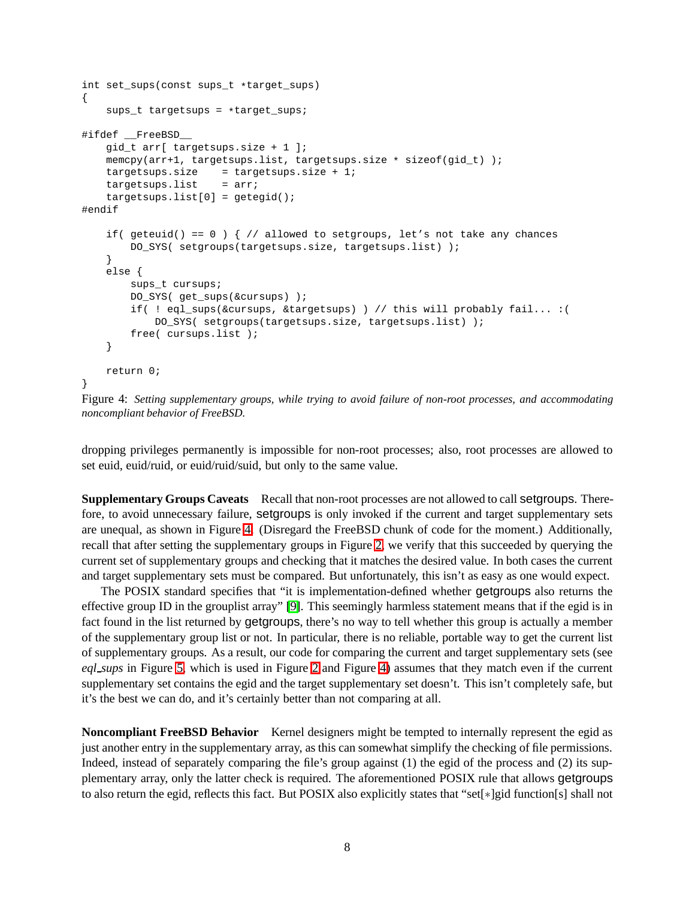```
int set_sups(const sups_t *target_sups)
{
    sups_t targetsups = *target_sups;
#ifdef __FreeBSD__
   gid_t arr[ targetsups.size + 1 ];
   memcpy(arr+1, targetsups.list, targetsups.size * sizeof(gid_t) );
   targestups.size = targestups.size + 1;targetsups.list = arr;
    targetsups.list[0] = qetegid();
#endif
    if( geteuid() == 0 ) \{ // allowed to setgroups, let's not take any chances
        DO_SYS( setgroups(targetsups.size, targetsups.list) );
    }
    else {
        sups_t cursups;
        DO SYS( get sups(&cursups) );
        if( ! eql_sups(&cursups, &targetsups) ) // this will probably fail... :(
           DO_SYS( setgroups(targetsups.size, targetsups.list) );
        free( cursups.list );
    }
   return 0;
}
```
<span id="page-7-0"></span>Figure 4: *Setting supplementary groups, while trying to avoid failure of non-root processes, and accommodating noncompliant behavior of FreeBSD.*

dropping privileges permanently is impossible for non-root processes; also, root processes are allowed to set euid, euid/ruid, or euid/ruid/suid, but only to the same value.

**Supplementary Groups Caveats** Recall that non-root processes are not allowed to call setgroups. Therefore, to avoid unnecessary failure, setgroups is only invoked if the current and target supplementary sets are unequal, as shown in Figure [4.](#page-7-0) (Disregard the FreeBSD chunk of code for the moment.) Additionally, recall that after setting the supplementary groups in Figure [2,](#page-5-0) we verify that this succeeded by querying the current set of supplementary groups and checking that it matches the desired value. In both cases the current and target supplementary sets must be compared. But unfortunately, this isn't as easy as one would expect.

The POSIX standard specifies that "it is implementation-defined whether getgroups also returns the effective group ID in the grouplist array" [\[9\]](#page-9-14). This seemingly harmless statement means that if the egid is in fact found in the list returned by getgroups, there's no way to tell whether this group is actually a member of the supplementary group list or not. In particular, there is no reliable, portable way to get the current list of supplementary groups. As a result, our code for comparing the current and target supplementary sets (see *eql sups* in Figure [5,](#page-8-0) which is used in Figure [2](#page-5-0) and Figure [4\)](#page-7-0) assumes that they match even if the current supplementary set contains the egid and the target supplementary set doesn't. This isn't completely safe, but it's the best we can do, and it's certainly better than not comparing at all.

**Noncompliant FreeBSD Behavior** Kernel designers might be tempted to internally represent the egid as just another entry in the supplementary array, as this can somewhat simplify the checking of file permissions. Indeed, instead of separately comparing the file's group against (1) the egid of the process and (2) its supplementary array, only the latter check is required. The aforementioned POSIX rule that allows getgroups to also return the egid, reflects this fact. But POSIX also explicitly states that "set[∗]gid function[s] shall not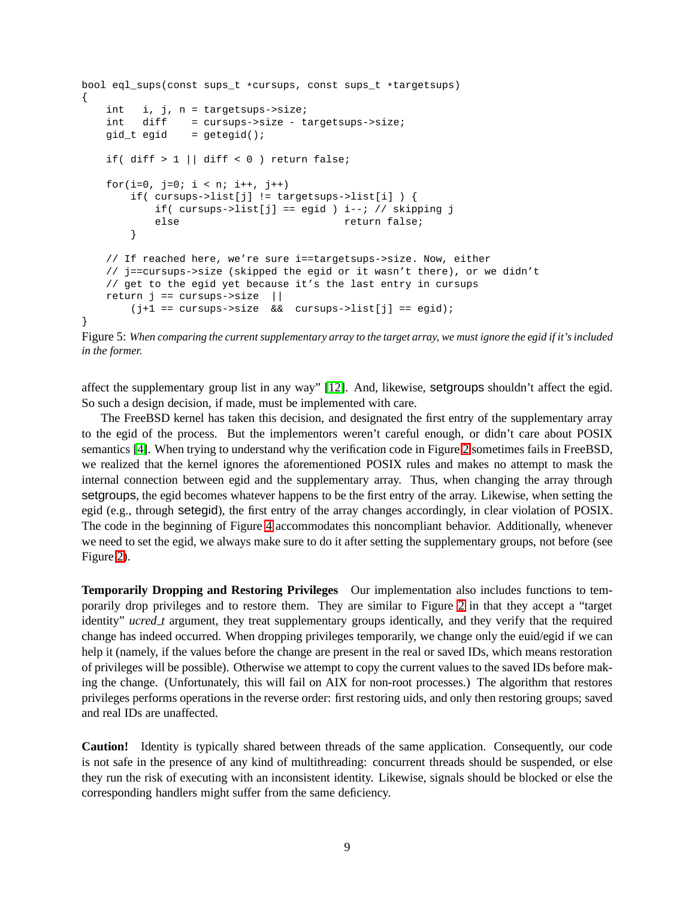```
bool eql_sups(const sups_t *cursups, const sups_t *targetsups)
{
   int i, j, n = targetsups->size;
   int diff = cursups->size - targetsups->size;
   qid_t \neq qid = qeteqid();
   if( diff > 1 || diff < 0 ) return false;
   for(i=0, j=0; i < ni; i++, j++)if( cursups->list[j] != targetsups->list[i] ) {
           if( cursups->list[j] == eqid ) i--; // skipping j
           else return false;
       }
   // If reached here, we're sure i==targetsups->size. Now, either
   // j==cursups->size (skipped the egid or it wasn't there), or we didn't
   // get to the egid yet because it's the last entry in cursups
   return j == cursups->size ||
       (j+1 == curvesups->size & cursups->list[j] == egid);}
```

```
Figure 5: When comparing the current supplementary array to the target array, we must ignore the egid if it's included
in the former.
```
affect the supplementary group list in any way" [\[12\]](#page-9-15). And, likewise, setgroups shouldn't affect the egid. So such a design decision, if made, must be implemented with care.

The FreeBSD kernel has taken this decision, and designated the first entry of the supplementary array to the egid of the process. But the implementors weren't careful enough, or didn't care about POSIX semantics [\[4\]](#page-9-16). When trying to understand why the verification code in Figure [2](#page-5-0) sometimes fails in FreeBSD, we realized that the kernel ignores the aforementioned POSIX rules and makes no attempt to mask the internal connection between egid and the supplementary array. Thus, when changing the array through setgroups, the egid becomes whatever happens to be the first entry of the array. Likewise, when setting the egid (e.g., through setegid), the first entry of the array changes accordingly, in clear violation of POSIX. The code in the beginning of Figure [4](#page-7-0) accommodates this noncompliant behavior. Additionally, whenever we need to set the egid, we always make sure to do it after setting the supplementary groups, not before (see Figure [2\)](#page-5-0).

**Temporarily Dropping and Restoring Privileges** Our implementation also includes functions to temporarily drop privileges and to restore them. They are similar to Figure [2](#page-5-0) in that they accept a "target identity" *ucred\_t* argument, they treat supplementary groups identically, and they verify that the required change has indeed occurred. When dropping privileges temporarily, we change only the euid/egid if we can help it (namely, if the values before the change are present in the real or saved IDs, which means restoration of privileges will be possible). Otherwise we attempt to copy the current values to the saved IDs before making the change. (Unfortunately, this will fail on AIX for non-root processes.) The algorithm that restores privileges performs operations in the reverse order: first restoring uids, and only then restoring groups; saved and real IDs are unaffected.

**Caution!** Identity is typically shared between threads of the same application. Consequently, our code is not safe in the presence of any kind of multithreading: concurrent threads should be suspended, or else they run the risk of executing with an inconsistent identity. Likewise, signals should be blocked or else the corresponding handlers might suffer from the same deficiency.